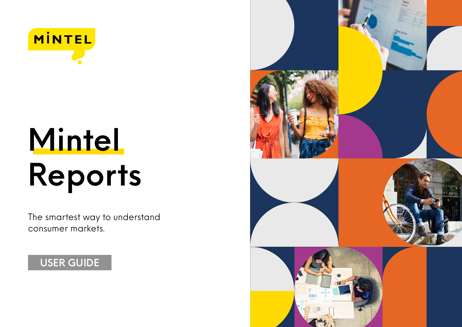

# **Mintel Reports**

The smartest way to understand consumer markets.

### **USER GUIDE**

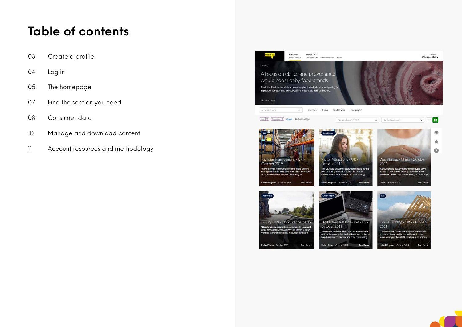### **Table of contents**

- [Create a profile](#page-2-0)
- [Log in](#page-3-0)
- [The homepage](#page-4-0)
- [Find the section you need](#page-6-0)
- [Consumer data](#page-7-0)
- [Manage and download content](#page-9-0)
- [Account resources and methodology](#page-10-0)

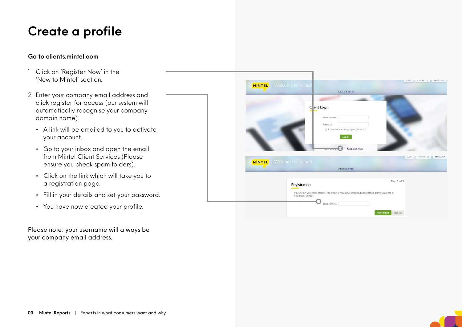### <span id="page-2-0"></span>**Create a profile**

### **Go to clients.mintel.com**

- 1 Click on 'Register Now' in the 'New to Mintel' section.
- 2 Enter your company email address and click register for access (our system will automatically recognise your company domain name).
	- A link will be emailed to you to activate your account.
	- Go to your inbox and open the email from Mintel Client Services (Please ensure you check spam folders).
	- Click on the link which will take you to a registration page.
	- Fill in your details and set your password.
	- You have now created your profile.

Please note: your username will always be your company email address.

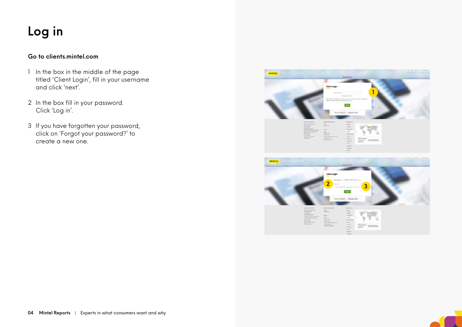## <span id="page-3-0"></span>**Log in**

### **Go to clients.mintel.com**

- 1 In the box in the middle of the page titled 'Client Login', fill in your username and click 'next'.
- 2 In the box fill in your password. Click 'Log in'.
- 3 If you have forgotten your password, click on 'Forgot your password?' to create a new one.



**State Sources**<br>
TRIPSTON

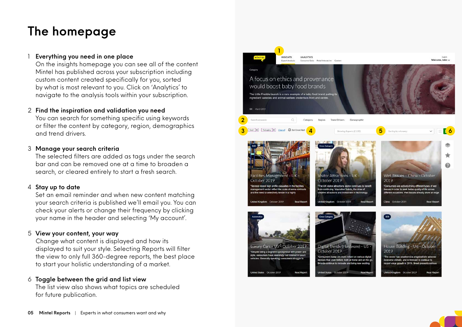### <span id="page-4-0"></span>**The homepage**

### 1 **Everything you need in one place**

On the insights homepage you can see all of the content Mintel has published across your subscription including custom content created specifically for you, sorted by what is most relevant to you. Click on 'Analytics' to navigate to the analysis tools within your subscription.

### 2 **Find the inspiration and validation you need**

You can search for something specific using keywords or filter the content by category, region, demographics and trend drivers.

### 3 **Manage your search criteria**

The selected filters are added as tags under the search bar and can be removed one at a time to broaden a search, or cleared entirely to start a fresh search.

### 4 **Stay up to date**

Set an email reminder and when new content matching your search criteria is published we'll email you. You can check your alerts or change their frequency by clicking your name in the header and selecting 'My account'.

### 5 **View your content, your way**

Change what content is displayed and how its displayed to suit your style. Selecting Reports will filter the view to only full 360-degree reports, the best place to start your holistic understanding of a market.

### 6 **Toggle between the grid and list view**

The list view also shows what topics are scheduled for future publication.

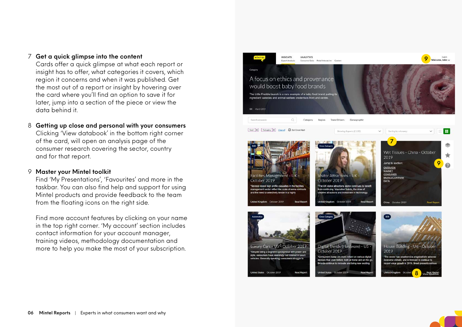#### 7 **Get a quick glimpse into the content**

Cards offer a quick glimpse at what each report or insight has to offer, what categories it covers, which region it concerns and when it was published. Get the most out of a report or insight by hovering over the card where you'll find an option to save it for later, jump into a section of the piece or view the data behind it.

### 8 **Getting up close and personal with your consumers**

Clicking 'View databook' in the bottom right corner of the card, will open an analysis page of the consumer research covering the sector, country and for that report.

#### 9 **Master your Mintel toolkit**

Find 'My Presentations', 'Favourites' and more in the taskbar. You can also find help and support for using Mintel products and provide feedback to the team from the floating icons on the right side.

Find more account features by clicking on your name in the top right corner. 'My account' section includes contact information for your account manager, training videos, methodology documentation and more to help you make the most of your subscription.

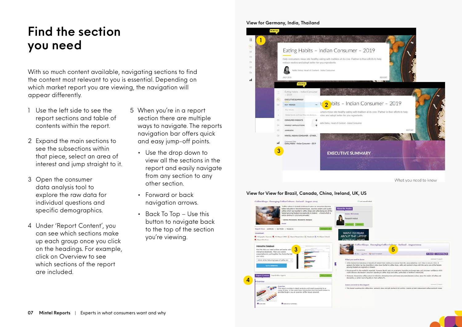### <span id="page-6-0"></span>**Find the section you need**

With so much content available, navigating sections to find the content most relevant to you is essential. Depending on which market report you are viewing, the navigation will appear differently.

- 1 Use the left side to see the report sections and table of contents within the report.
- 2 Expand the main sections to see the subsections within that piece, select an area of interest and jump straight to it.
- 3 Open the consumer data analysis tool to explore the raw data for individual questions and specific demographics.
- 4 Under 'Report Content', you can see which sections make up each group once you click on the headings. For example, click on Overview to see which sections of the report are included.
- 5 When you're in a report section there are multiple ways to navigate. The reports navigation bar offers quick and easy jump-off points.
	- Use the drop down to view all the sections in the report and easily navigate from any section to any other section.
	- Forward or back navigation arrows.
	- Back To Top Use this button to navigate back to the top of the section you're viewing.

#### **View for Germany, India, Thailand**



#### **View for View for Brazil, Canada, China, Ireland, UK, US**

**4**

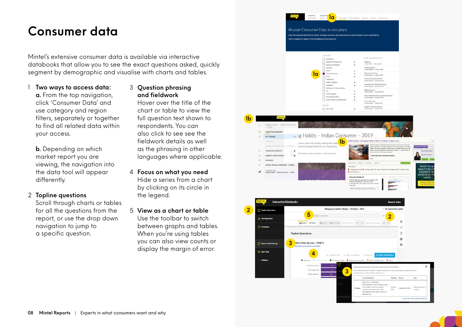### <span id="page-7-0"></span>**Consumer data**

Mintel's extensive consumer data is available via interactive databooks that allow you to see the exact questions asked, quickly segment by demographic and visualise with charts and tables.

1 **Two ways to access data:**

**a.** From the top navigation, click 'Consumer Data' and use category and region filters, separately or together to find all related data within your access.

**b.** Depending on which market report you are viewing, the navigation into the data tool will appear differently.

#### 2 **Topline questions**

Scroll through charts or tables for all the questions from the report, or use the drop down navigation to jump to a specific question.

3 **Question phrasing and fieldwork**

Hover over the title of the chart or table to view the full question text shown to respondents. You can also click to see see the fieldwork details as well as the phrasing in other languages where applicable.

- 4 **Focus on what you need** Hide a series from a chart by clicking on its circle in the legend.
- 5 **View as a chart or table** Use the toolbar to switch between graphs and tables. When you're using tables you can also view counts or display the margin of error.

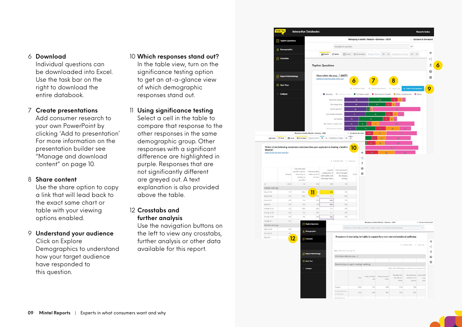#### 6 **Download**

Individual questions can be downloaded into Excel. Use the task bar on the right to download the entire databook.

#### 7 **Create presentations**

Add consumer research to your own PowerPoint by clicking 'Add to presentation' For more information on the presentation builder see "Manage and download content" on page 10.

#### 8 **Share content**

Use the share option to copy a link that will lead back to the exact same chart or table with your viewing options enabled.

### 9 **Understand your audience**

Click on Explore Demographics to understand how your target audience have responded to this question.

### 10 **Which responses stand out?** In the table view, turn on the significance testing option to get an at-a-glance view of which demographic responses stand out.

11 **Using significance testing** Select a cell in the table to compare that response to the other responses in the same demographic group. Other responses with a significant difference are highlighted in purple. Responses that are not significantly different are greyed out. A text explanation is also provided above the table.

### 12 **Crosstabs and further analysis**

Use the navigation buttons on the left to view any crosstabs, further analysis or other data available for this report.

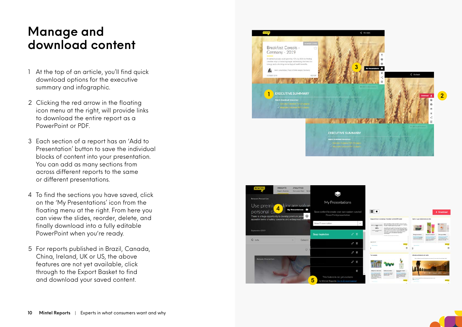### <span id="page-9-0"></span>**Manage and download content**

- 1 At the top of an article, you'll find quick download options for the executive summary and infographic.
- 2 Clicking the red arrow in the floating icon menu at the right, will provide links to download the entire report as a PowerPoint or PDF.
- 3 Each section of a report has an 'Add to Presentation' button to save the individual blocks of content into your presentation. You can add as many sections from across different reports to the same or different presentations.
- 4 To find the sections you have saved, click on the 'My Presentations' icon from the floating menu at the right. From here you can view the slides, reorder, delete, and finally download into a fully editable PowerPoint when you're ready.
- 5 For reports published in Brazil, Canada, China, Ireland, UK or US, the above features are not yet available, click through to the Export Basket to find and download your saved content.



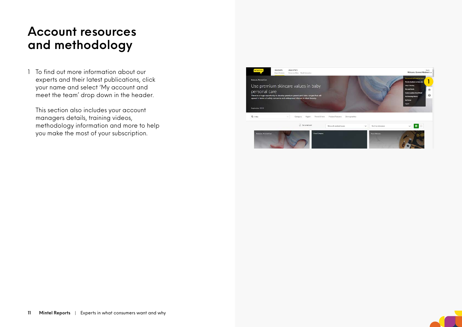### <span id="page-10-0"></span>**Account resources and methodology**

1 To find out more information about our experts and their latest publications, click your name and select 'My account and meet the team' drop down in the header.

This section also includes your account managers details, training videos, methodology information and more to help you make the most of your subscription.